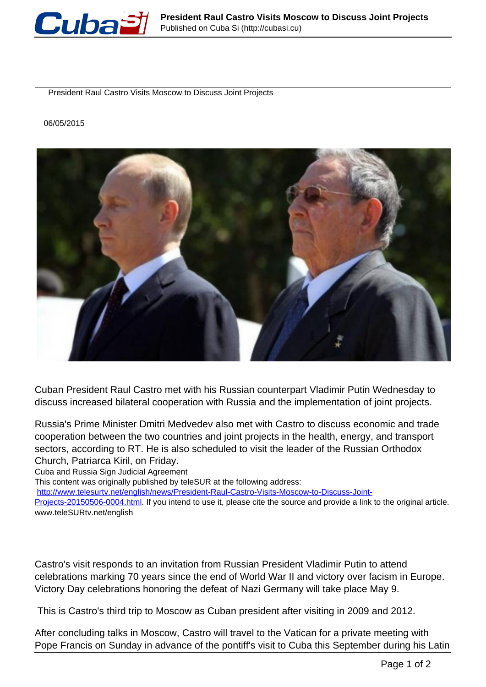

President Raul Castro Visits Moscow to Discuss Joint Projects

## 06/05/2015



Cuban President Raul Castro met with his Russian counterpart Vladimir Putin Wednesday to discuss increased bilateral cooperation with Russia and the implementation of joint projects.

Russia's Prime Minister Dmitri Medvedev also met with Castro to discuss economic and trade cooperation between the two countries and joint projects in the health, energy, and transport sectors, according to RT. He is also scheduled to visit the leader of the Russian Orthodox Church, Patriarca Kiril, on Friday.

Cuba and Russia Sign Judicial Agreement

This content was originally published by teleSUR at the following address:

[http://www.telesurtv.net/english/news/President-Raul-Castro-Visits-Moscow-to-Discuss-Joint-](http://www.telesurtv.net/english/news/President-Raul-Castro-Visits-Moscow-to-Discuss-Joint-Projects-20150506-0004.html)

[Projects-20150506-0004.html.](http://www.telesurtv.net/english/news/President-Raul-Castro-Visits-Moscow-to-Discuss-Joint-Projects-20150506-0004.html) If you intend to use it, please cite the source and provide a link to the original article. www.teleSURtv.net/english

Castro's visit responds to an invitation from Russian President Vladimir Putin to attend celebrations marking 70 years since the end of World War II and victory over facism in Europe. Victory Day celebrations honoring the defeat of Nazi Germany will take place May 9.

This is Castro's third trip to Moscow as Cuban president after visiting in 2009 and 2012.

After concluding talks in Moscow, Castro will travel to the Vatican for a private meeting with Pope Francis on Sunday in advance of the pontiff's visit to Cuba this September during his Latin